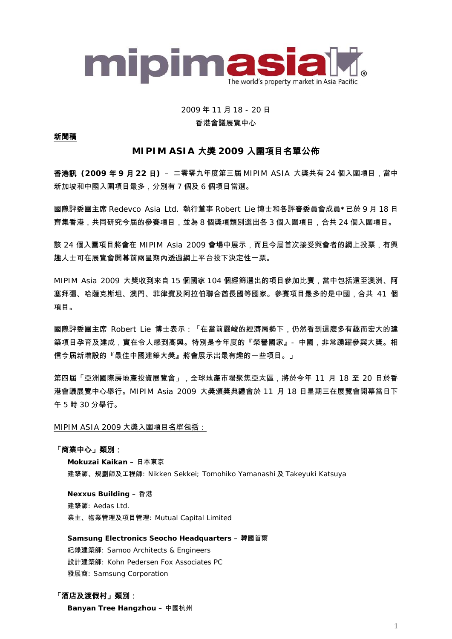

# 2009 年 11 月 18 - 20 日 香港會議展覽中心

### 新聞稿

# **MIPIM ASIA** 大獎 **2009** 入圍項目名單公佈

香港訊 **(2009** 年 **9** 月 **22** 日**)** – 二零零九年度第三屆 MIPIM ASIA 大獎共有 24 個入圍項目,當中 新加坡和中國入圍項目最多,分別有 7 個及 6 個項目當選。

國際評委團主席 Redevco Asia Ltd. 執行董事 Robert Lie 博士和各評審委員會成員**\***已於 9 月 18 日 齊集香港,共同研究今屆的參賽項目,並為 8 個獎項類別選出各 3 個入圍項目,合共 24 個入圍項目。

該 24 個入圍項目將會在 MIPIM Asia 2009 會場中展示,而且今屆首次接受與會者的網上投票,有興 趣人士可在展覽會開幕前兩星期內透過網上平台投下決定性一票。

MIPIM Asia 2009 大獎收到來自 15 個國家 104 個經篩選出的項目參加比賽,當中包括遠至澳洲、阿 塞拜彊、哈薩克斯坦、澳門、菲律賓及阿拉伯聯合酋長國等國家。參賽項目最多的是中國,合共 41 個 項目。

國際評委團主席 Robert Lie 博士表示:「在當前嚴峻的經濟局勢下,仍然看到這麼多有趣而宏大的建 築項目孕育及建成,實在令人感到高興。特別是今年度的『榮譽國家』- 中國,非常踴躍參與大獎。相 信今屆新增設的『最佳中國建築大獎』將會展示出最有趣的一些項目。」

第四屆「亞洲國際房地產投資展覽會」,全球地產市場聚焦亞太區,將於今年 11 月 18 至 20 日於香 港會議展覽中心舉行。MIPIM Asia 2009 大獎頒獎典禮會於 11 月 18 日星期三在展覽會開幕當日下 午 5 時 30 分舉行。

### MIPIM ASIA 2009 大獎入圍項目名單包括:

### 「商業中心」類別:

**Mokuzai Kaikan** – 日本東京 建築師、規劃師及工程師: Nikken Sekkei; Tomohiko Yamanashi 及 Takeyuki Katsuya

**Nexxus Building** – 香港 建築師: Aedas Ltd. 業主、物業管理及項目管理: Mutual Capital Limited

**Samsung Electronics Seocho Headquarters** – 韓國首爾 紀錄建築師: Samoo Architects & Engineers 設計建築師: Kohn Pedersen Fox Associates PC 發展商: Samsung Corporation

### 「酒店及渡假村」類別:

**Banyan Tree Hangzhou** – 中國杭州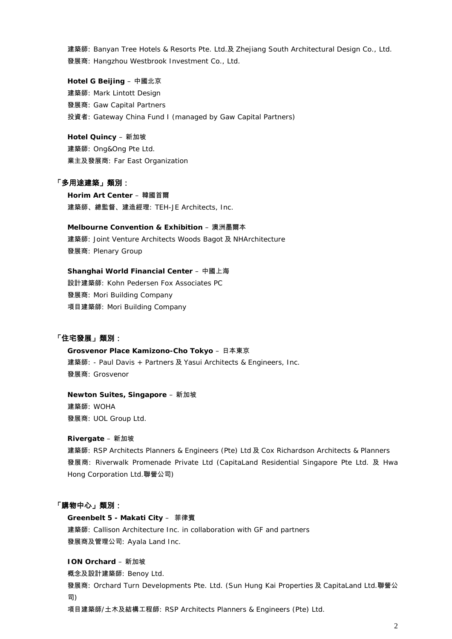建築師: Banyan Tree Hotels & Resorts Pte. Ltd.及 Zhejiang South Architectural Design Co., Ltd. 發展商: Hangzhou Westbrook Investment Co., Ltd.

**Hotel G Beijing** – 中國北京 建築師: Mark Lintott Design 發展商: Gaw Capital Partners 投資者: Gateway China Fund I (managed by Gaw Capital Partners)

**Hotel Quincy** – 新加坡 建築師: Ong&Ong Pte Ltd. 業主及發展商: Far East Organization

### 「多用途建築」類別:

**Horim Art Center** – 韓國首爾 建築師、總監督、建造經理: TEH-JE Architects, Inc.

**Melbourne Convention & Exhibition** – 澳洲墨爾本 建築師: Joint Venture Architects Woods Bagot 及 NHArchitecture 發展商: Plenary Group

**Shanghai World Financial Center** – 中國上海 設計建築師: Kohn Pedersen Fox Associates PC 發展商: Mori Building Company 項目建築師: Mori Building Company

# 「住宅發展」類別:

**Grosvenor Place Kamizono-Cho Tokyo** – 日本東京 建築師: - Paul Davis + Partners 及 Yasui Architects & Engineers, Inc. 發展商: Grosvenor

**Newton Suites, Singapore** – 新加坡

建築師: WOHA 發展商: UOL Group Ltd.

#### **Rivergate** – 新加坡

建築師: RSP Architects Planners & Engineers (Pte) Ltd 及 Cox Richardson Architects & Planners 發展商: Riverwalk Promenade Private Ltd (CapitaLand Residential Singapore Pte Ltd. 及 Hwa Hong Corporation Ltd.聯營公司)

### 「購物中心」類別:

**Greenbelt 5 - Makati City** – 菲律賓 建築師: Callison Architecture Inc. in collaboration with GF and partners 發展商及管理公司: Ayala Land Inc.

**ION Orchard** – 新加坡

概念及設計建築師: Benoy Ltd.

發展商: Orchard Turn Developments Pte. Ltd. (Sun Hung Kai Properties 及 CapitaLand Ltd.聯營公 司)

項目建築師/土木及結構工程師: RSP Architects Planners & Engineers (Pte) Ltd.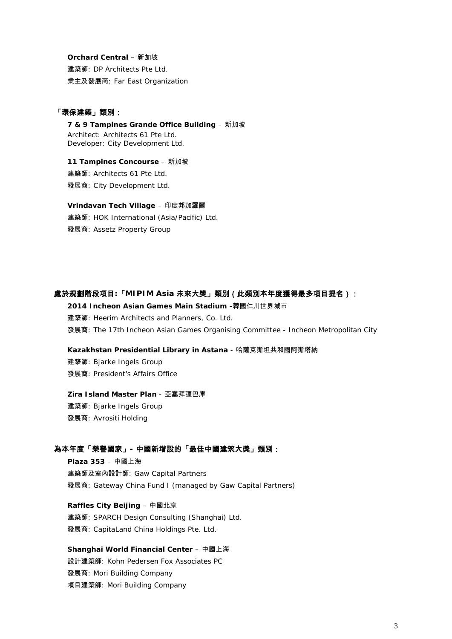#### **Orchard Central** – 新加坡

建築師: DP Architects Pte Ltd. 業主及發展商: Far East Organization

# 「環保建築」類別:

**7 & 9 Tampines Grande Office Building** – 新加坡 Architect: Architects 61 Pte Ltd. Developer: City Development Ltd.

**11 Tampines Concourse** – 新加坡 建築師: Architects 61 Pte Ltd. 發展商: City Development Ltd.

**Vrindavan Tech Village** – 印度邦加羅爾 建築師: HOK International (Asia/Pacific) Ltd.

發展商: Assetz Property Group

### 處於規劃階段項目**:**「**MIPIM Asia** 未來大獎」類別(此類別本年度獲得最多項目提名):

**2014 Incheon Asian Games Main Stadium -**韓國仁川世界城市 建築師: Heerim Architects and Planners, Co. Ltd.

發展商: The 17th Incheon Asian Games Organising Committee - Incheon Metropolitan City

#### **Kazakhstan Presidential Library in Astana** - 哈薩克斯坦共和國阿斯塔納

建築師: Bjarke Ingels Group 發展商: President's Affairs Office

#### **Zira Island Master Plan** - 亞塞拜彊巴庫

建築師: Bjarke Ingels Group 發展商: Avrositi Holding

# 為本年度「榮譽國家」**-** 中國新增設的「最佳中國建筑大獎」類別:

**Plaza 353** – 中國上海 建築師及室內設計師: Gaw Capital Partners 發展商: Gateway China Fund I (managed by Gaw Capital Partners)

# **Raffles City Beijing** – 中國北京

建築師: SPARCH Design Consulting (Shanghai) Ltd. 發展商: CapitaLand China Holdings Pte. Ltd.

#### **Shanghai World Financial Center** – 中國上海

設計建築師: Kohn Pedersen Fox Associates PC 發展商: Mori Building Company 項目建築師: Mori Building Company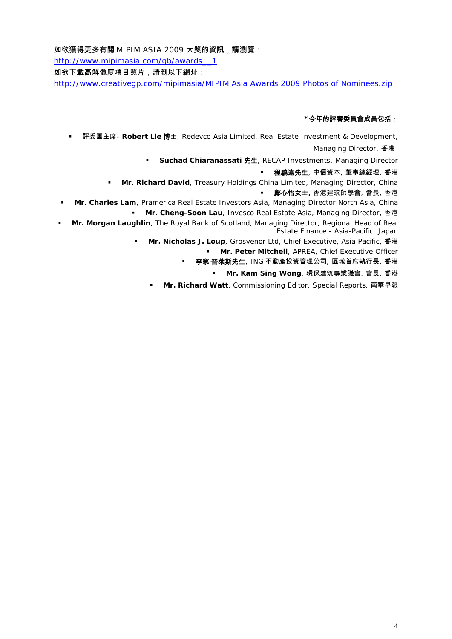如欲獲得更多有關 MIPIM ASIA 2009 大獎的資訊,請瀏覽:

http://www.mipimasia.com/gb/awards\_\_1

如欲下載高解像度項目照片,請到以下網址:

http://www.creativegp.com/mipimasia/MIPIM Asia Awards 2009 Photos of Nominees.zip

### **\***今年的評審委員會成員包括:

評委團主席- **Robert Lie** 博士, Redevco Asia Limited, Real Estate Investment & Development,

Managing Director, 香港

**Suchad Chiaranassati** 先生, RECAP Investments, Managing Director

程驍遠先生, 中信資本, 董事總經理, 香港

**Mr. Richard David**, Treasury Holdings China Limited, Managing Director, China

### 鄺心怡女士**,** 香港建筑師學會, 會長, 香港

 **Mr. Charles Lam**, Pramerica Real Estate Investors Asia, Managing Director North Asia, China **Mr. Cheng-Soon Lau**, Invesco Real Estate Asia, Managing Director, 香港

 **Mr. Morgan Laughlin**, The Royal Bank of Scotland, Managing Director, Regional Head of Real Estate Finance - Asia-Pacific, Japan

**Mr. Nicholas J. Loup**, Grosvenor Ltd, Chief Executive, Asia Pacific, 香港

**Mr. Peter Mitchell**, APREA, Chief Executive Officer

■ 李察·普萊斯先生, ING 不動產投資管理公司, 區域首席執行長, 香港

**Mr. Kam Sing Wong**, 環保建筑專業議會, 會長, 香港

**Mr. Richard Watt**, Commissioning Editor, Special Reports, 南華早報